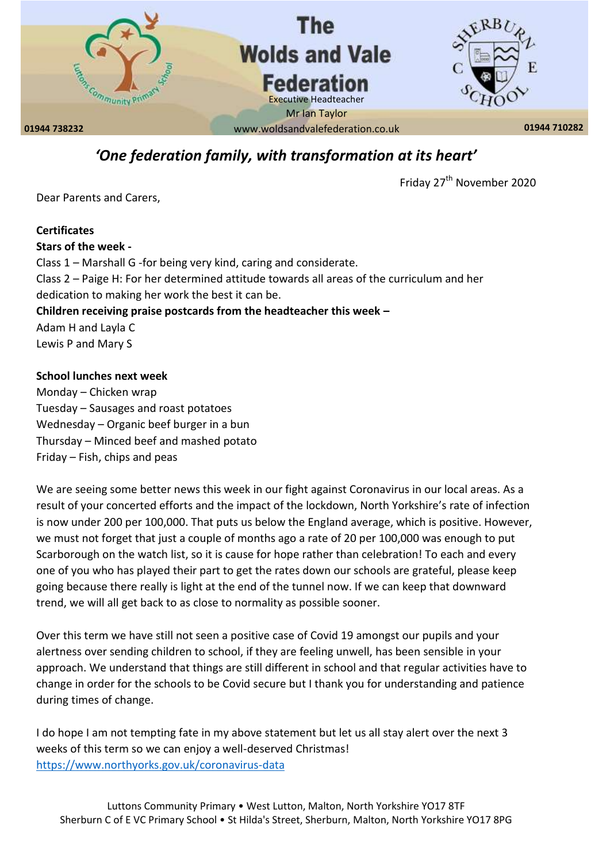

# *'One federation family, with transformation at its heart'*

Friday 27<sup>th</sup> November 2020

Dear Parents and Carers,

# **Certificates Stars of the week -** Class 1 – Marshall G -for being very kind, caring and considerate. Class 2 – Paige H: For her determined attitude towards all areas of the curriculum and her dedication to making her work the best it can be. **Children receiving praise postcards from the headteacher this week –** Adam H and Layla C Lewis P and Mary S

### **School lunches next week**

Monday – Chicken wrap Tuesday – Sausages and roast potatoes Wednesday – Organic beef burger in a bun Thursday – Minced beef and mashed potato Friday – Fish, chips and peas

We are seeing some better news this week in our fight against Coronavirus in our local areas. As a result of your concerted efforts and the impact of the lockdown, North Yorkshire's rate of infection is now under 200 per 100,000. That puts us below the England average, which is positive. However, we must not forget that just a couple of months ago a rate of 20 per 100,000 was enough to put Scarborough on the watch list, so it is cause for hope rather than celebration! To each and every one of you who has played their part to get the rates down our schools are grateful, please keep going because there really is light at the end of the tunnel now. If we can keep that downward trend, we will all get back to as close to normality as possible sooner.

Over this term we have still not seen a positive case of Covid 19 amongst our pupils and your alertness over sending children to school, if they are feeling unwell, has been sensible in your approach. We understand that things are still different in school and that regular activities have to change in order for the schools to be Covid secure but I thank you for understanding and patience during times of change.

I do hope I am not tempting fate in my above statement but let us all stay alert over the next 3 weeks of this term so we can enjoy a well-deserved Christmas! <https://www.northyorks.gov.uk/coronavirus-data>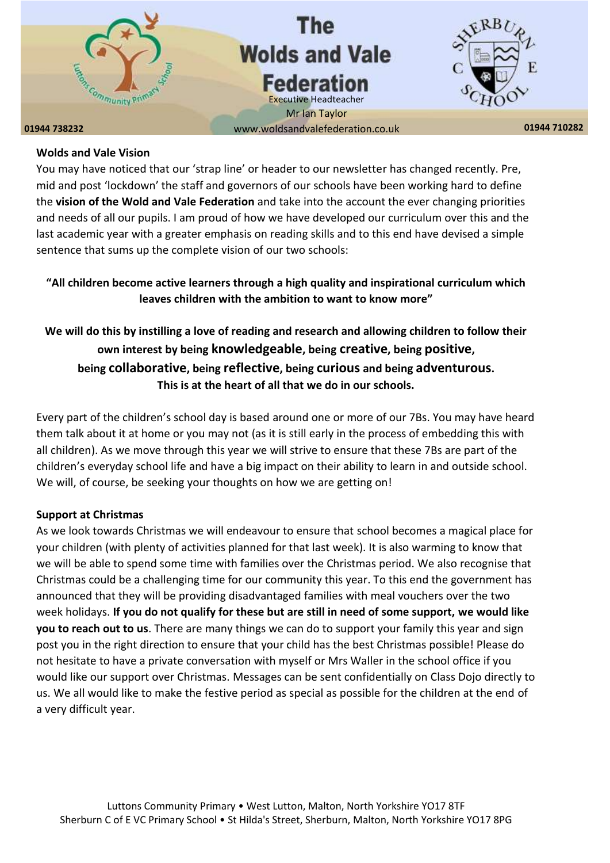

#### **Wolds and Vale Vision**

You may have noticed that our 'strap line' or header to our newsletter has changed recently. Pre, mid and post 'lockdown' the staff and governors of our schools have been working hard to define the **vision of the Wold and Vale Federation** and take into the account the ever changing priorities and needs of all our pupils. I am proud of how we have developed our curriculum over this and the last academic year with a greater emphasis on reading skills and to this end have devised a simple sentence that sums up the complete vision of our two schools:

# **"All children become active learners through a high quality and inspirational curriculum which leaves children with the ambition to want to know more"**

# **We will do this by instilling a love of reading and research and allowing children to follow their own interest by being knowledgeable, being creative, being positive, being collaborative, being reflective, being curious and being adventurous. This is at the heart of all that we do in our schools.**

Every part of the children's school day is based around one or more of our 7Bs. You may have heard them talk about it at home or you may not (as it is still early in the process of embedding this with all children). As we move through this year we will strive to ensure that these 7Bs are part of the children's everyday school life and have a big impact on their ability to learn in and outside school. We will, of course, be seeking your thoughts on how we are getting on!

### **Support at Christmas**

As we look towards Christmas we will endeavour to ensure that school becomes a magical place for your children (with plenty of activities planned for that last week). It is also warming to know that we will be able to spend some time with families over the Christmas period. We also recognise that Christmas could be a challenging time for our community this year. To this end the government has announced that they will be providing disadvantaged families with meal vouchers over the two week holidays. **If you do not qualify for these but are still in need of some support, we would like you to reach out to us**. There are many things we can do to support your family this year and sign post you in the right direction to ensure that your child has the best Christmas possible! Please do not hesitate to have a private conversation with myself or Mrs Waller in the school office if you would like our support over Christmas. Messages can be sent confidentially on Class Dojo directly to us. We all would like to make the festive period as special as possible for the children at the end of a very difficult year.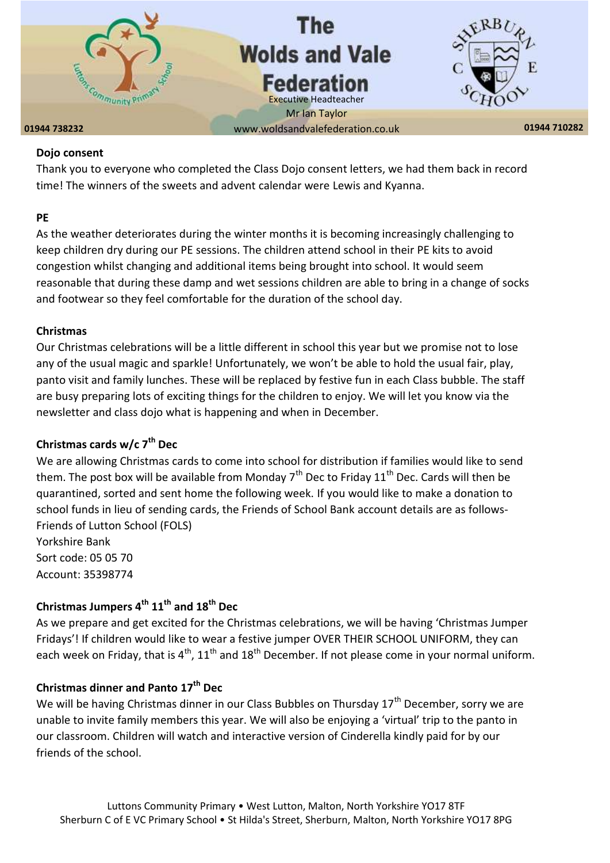

#### **Dojo consent**

Thank you to everyone who completed the Class Dojo consent letters, we had them back in record time! The winners of the sweets and advent calendar were Lewis and Kyanna.

#### **PE**

As the weather deteriorates during the winter months it is becoming increasingly challenging to keep children dry during our PE sessions. The children attend school in their PE kits to avoid congestion whilst changing and additional items being brought into school. It would seem reasonable that during these damp and wet sessions children are able to bring in a change of socks and footwear so they feel comfortable for the duration of the school day.

#### **Christmas**

Our Christmas celebrations will be a little different in school this year but we promise not to lose any of the usual magic and sparkle! Unfortunately, we won't be able to hold the usual fair, play, panto visit and family lunches. These will be replaced by festive fun in each Class bubble. The staff are busy preparing lots of exciting things for the children to enjoy. We will let you know via the newsletter and class dojo what is happening and when in December.

## **Christmas cards w/c 7th Dec**

We are allowing Christmas cards to come into school for distribution if families would like to send them. The post box will be available from Monday  $7<sup>th</sup>$  Dec to Friday 11<sup>th</sup> Dec. Cards will then be quarantined, sorted and sent home the following week. If you would like to make a donation to school funds in lieu of sending cards, the Friends of School Bank account details are as follows-Friends of Lutton School (FOLS)

Yorkshire Bank Sort code: 05 05 70 Account: 35398774

# **Christmas Jumpers 4 th 11th and 18th Dec**

As we prepare and get excited for the Christmas celebrations, we will be having 'Christmas Jumper Fridays'! If children would like to wear a festive jumper OVER THEIR SCHOOL UNIFORM, they can each week on Friday, that is  $4^{th}$ ,  $11^{th}$  and  $18^{th}$  December. If not please come in your normal uniform.

### **Christmas dinner and Panto 17th Dec**

We will be having Christmas dinner in our Class Bubbles on Thursday  $17<sup>th</sup>$  December, sorry we are unable to invite family members this year. We will also be enjoying a 'virtual' trip to the panto in our classroom. Children will watch and interactive version of Cinderella kindly paid for by our friends of the school.